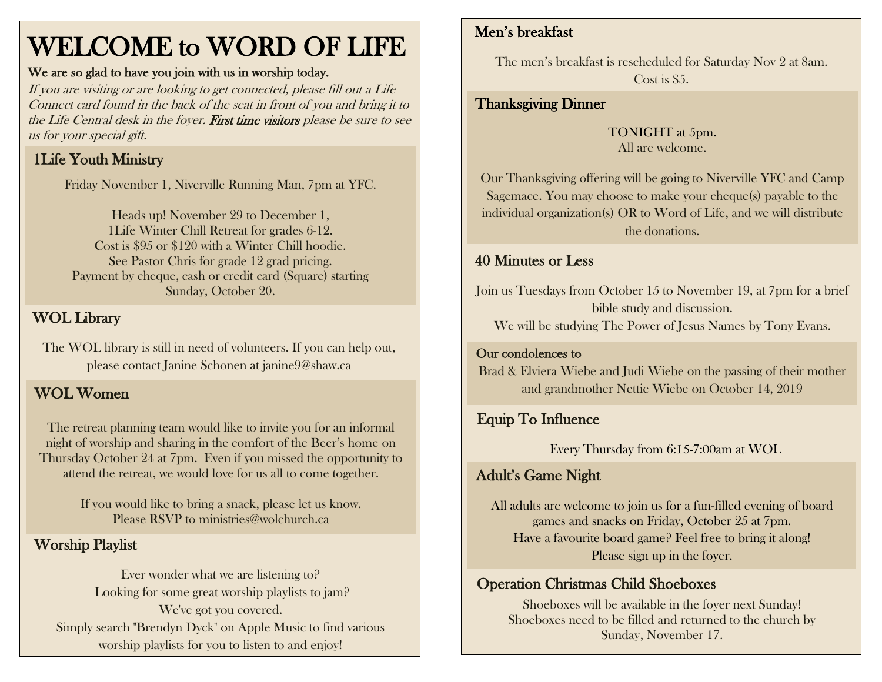## WELCOME to WORD OF LIFE

#### We are so glad to have you join with us in worship today.

If you are visiting or are looking to get connected, please fill out a Life Connect card found in the back of the seat in front of you and bring it to the Life Central desk in the foyer. First time visitors please be sure to see us for your special gift.

### 1Life Youth Ministry

Friday November 1, Niverville Running Man, 7pm at YFC.

Heads up! November 29 to December 1, 1Life Winter Chill Retreat for grades 6-12. Cost is \$95 or \$120 with a Winter Chill hoodie. See Pastor Chris for grade 12 grad pricing. Payment by cheque, cash or credit card (Square) starting Sunday, October 20.

#### WOL Library

The WOL library is still in need of volunteers. If you can help out, please contact Janine Schonen at janine9@shaw.ca

#### WOL Women

The retreat planning team would like to invite you for an informal night of worship and sharing in the comfort of the Beer's home on Thursday October 24 at 7pm. Even if you missed the opportunity to attend the retreat, we would love for us all to come together.

> If you would like to bring a snack, please let us know. Please RSVP to ministries@wolchurch.ca

#### Worship Playlist

Ever wonder what we are listening to? Looking for some great worship playlists to jam? We've got you covered. Simply search "Brendyn Dyck" on Apple Music to find various worship playlists for you to listen to and enjoy!

#### Men's breakfast

The men's breakfast is rescheduled for Saturday Nov 2 at 8am. Cost is \$5.

#### Thanksgiving Dinner

TONIGHT at 5pm. All are welcome.

Our Thanksgiving offering will be going to Niverville YFC and Camp Sagemace. You may choose to make your cheque(s) payable to the individual organization(s) OR to Word of Life, and we will distribute the donations.

#### 40 Minutes or Less

Join us Tuesdays from October 15 to November 19, at 7pm for a brief bible study and discussion.

We will be studying The Power of Jesus Names by Tony Evans.

#### Our condolences to

Brad & Elviera Wiebe and Judi Wiebe on the passing of their mother and grandmother Nettie Wiebe on October 14, 2019

#### Equip To Influence

Every Thursday from 6:15-7:00am at WOL

#### Adult's Game Night

All adults are welcome to join us for a fun-filled evening of board games and snacks on Friday, October 25 at 7pm. Have a favourite board game? Feel free to bring it along! Please sign up in the foyer.

#### Operation Christmas Child Shoeboxes

Shoeboxes will be available in the foyer next Sunday! Shoeboxes need to be filled and returned to the church by Sunday, November 17.